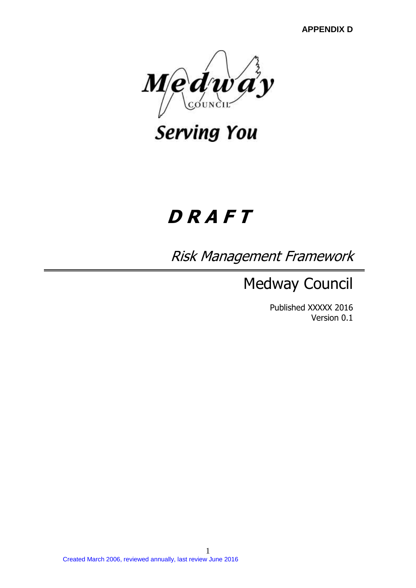**APPENDIX D**



**Serving You** 

# **D R A F T**

Risk Management Framework

Medway Council

Published XXXXX 2016 Version 0.1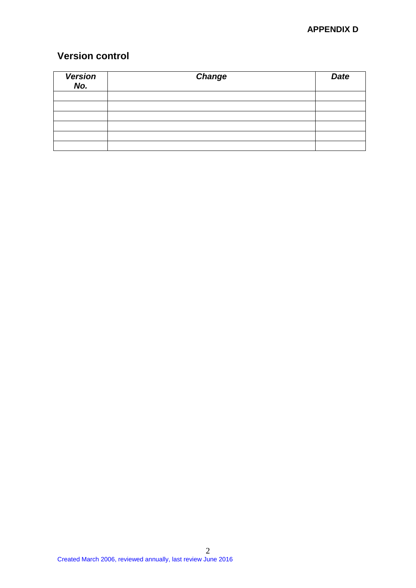# **APPENDIX D**

# **Version control**

| Version<br>No. | <b>Change</b> | <b>Date</b> |
|----------------|---------------|-------------|
|                |               |             |
|                |               |             |
|                |               |             |
|                |               |             |
|                |               |             |
|                |               |             |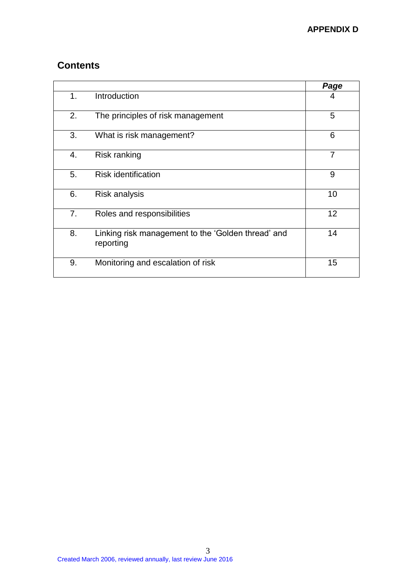# **Contents**

|                |                                                                 | Page           |
|----------------|-----------------------------------------------------------------|----------------|
| 1 <sub>1</sub> | Introduction                                                    | 4              |
| 2.             | The principles of risk management                               | 5              |
| 3.             | What is risk management?                                        | 6              |
| 4.             | Risk ranking                                                    | $\overline{7}$ |
| 5.             | <b>Risk identification</b>                                      | 9              |
| 6.             | Risk analysis                                                   | 10             |
| 7.             | Roles and responsibilities                                      | 12             |
| 8.             | Linking risk management to the 'Golden thread' and<br>reporting | 14             |
| 9.             | Monitoring and escalation of risk                               | 15             |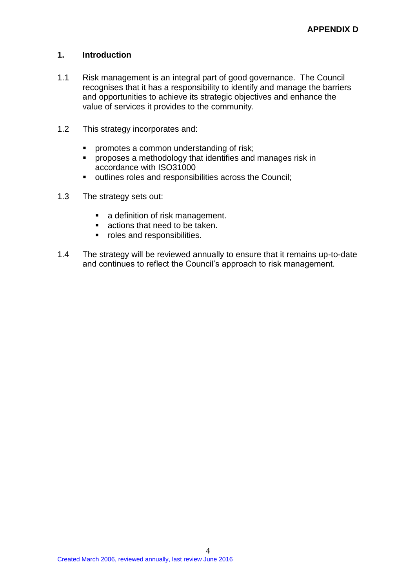# **1. Introduction**

- 1.1 Risk management is an integral part of good governance. The Council recognises that it has a responsibility to identify and manage the barriers and opportunities to achieve its strategic objectives and enhance the value of services it provides to the community.
- 1.2 This strategy incorporates and:
	- **•** promotes a common understanding of risk;
	- **PEDETE:** proposes a methodology that identifies and manages risk in accordance with ISO31000
	- outlines roles and responsibilities across the Council;
- 1.3 The strategy sets out:
	- **a** definition of risk management.
	- **actions that need to be taken.**
	- roles and responsibilities.
- 1.4 The strategy will be reviewed annually to ensure that it remains up-to-date and continues to reflect the Council's approach to risk management.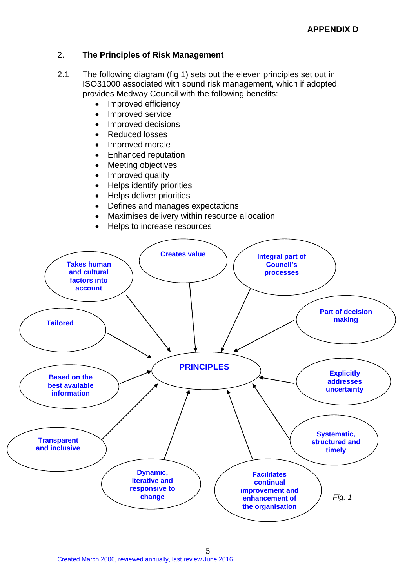# 2. **The Principles of Risk Management**

- 2.1 The following diagram (fig 1) sets out the eleven principles set out in ISO31000 associated with sound risk management, which if adopted, provides Medway Council with the following benefits:
	- Improved efficiency
	- Improved service
	- Improved decisions
	- Reduced losses
	- Improved morale
	- Enhanced reputation
	- Meeting objectives
	- Improved quality
	- Helps identify priorities
	- Helps deliver priorities
	- Defines and manages expectations
	- Maximises delivery within resource allocation
	- Helps to increase resources

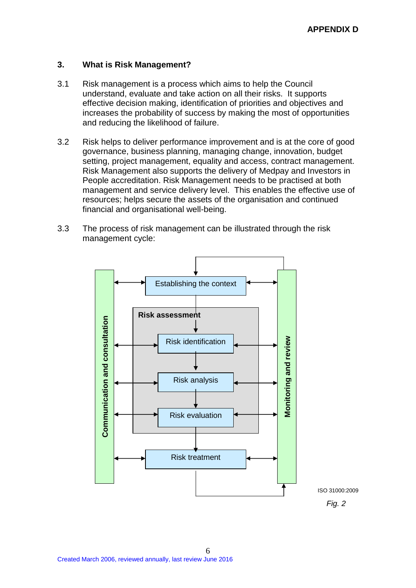## **3. What is Risk Management?**

- 3.1 Risk management is a process which aims to help the Council understand, evaluate and take action on all their risks. It supports effective decision making, identification of priorities and objectives and increases the probability of success by making the most of opportunities and reducing the likelihood of failure.
- 3.2 Risk helps to deliver performance improvement and is at the core of good governance, business planning, managing change, innovation, budget setting, project management, equality and access, contract management. Risk Management also supports the delivery of Medpay and Investors in People accreditation. Risk Management needs to be practised at both management and service delivery level. This enables the effective use of resources; helps secure the assets of the organisation and continued financial and organisational well-being.
- 3.3 The process of risk management can be illustrated through the risk management cycle:

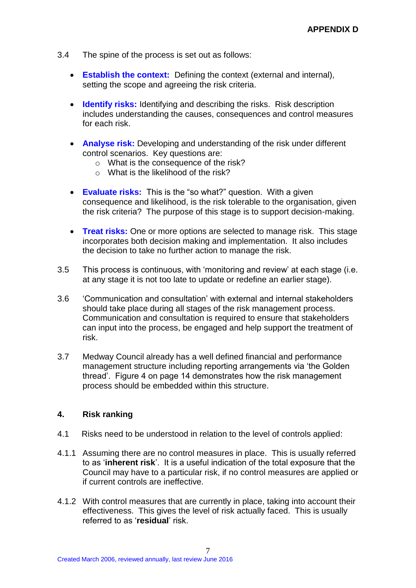- 3.4 The spine of the process is set out as follows:
	- **Establish the context:** Defining the context (external and internal), setting the scope and agreeing the risk criteria.
	- **Identify risks:** Identifying and describing the risks. Risk description includes understanding the causes, consequences and control measures for each risk.
	- **Analyse risk:** Developing and understanding of the risk under different control scenarios. Key questions are:
		- $\circ$  What is the consequence of the risk?
		- o What is the likelihood of the risk?
	- **Evaluate risks:** This is the "so what?" question. With a given consequence and likelihood, is the risk tolerable to the organisation, given the risk criteria? The purpose of this stage is to support decision-making.
	- **Treat risks:** One or more options are selected to manage risk. This stage incorporates both decision making and implementation. It also includes the decision to take no further action to manage the risk.
- 3.5 This process is continuous, with 'monitoring and review' at each stage (i.e. at any stage it is not too late to update or redefine an earlier stage).
- 3.6 'Communication and consultation' with external and internal stakeholders should take place during all stages of the risk management process. Communication and consultation is required to ensure that stakeholders can input into the process, be engaged and help support the treatment of risk.
- 3.7 Medway Council already has a well defined financial and performance management structure including reporting arrangements via 'the Golden thread'. Figure 4 on page 14 demonstrates how the risk management process should be embedded within this structure.

## **4. Risk ranking**

- 4.1 Risks need to be understood in relation to the level of controls applied:
- 4.1.1 Assuming there are no control measures in place. This is usually referred to as '**inherent risk**'. It is a useful indication of the total exposure that the Council may have to a particular risk, if no control measures are applied or if current controls are ineffective.
- 4.1.2 With control measures that are currently in place, taking into account their effectiveness. This gives the level of risk actually faced. This is usually referred to as '**residual**' risk.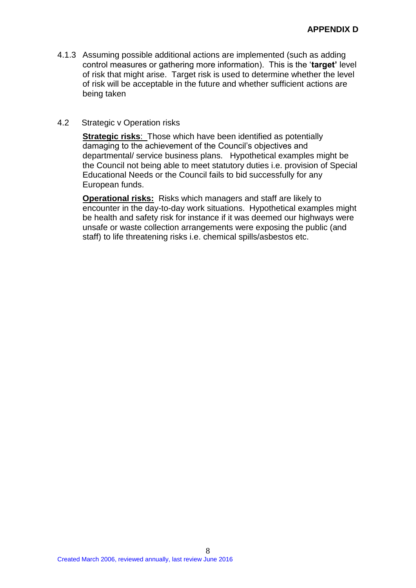4.1.3 Assuming possible additional actions are implemented (such as adding control measures or gathering more information). This is the '**target'** level of risk that might arise. Target risk is used to determine whether the level of risk will be acceptable in the future and whether sufficient actions are being taken

#### 4.2 Strategic v Operation risks

**Strategic risks**: Those which have been identified as potentially damaging to the achievement of the Council's objectives and departmental/ service business plans. Hypothetical examples might be the Council not being able to meet statutory duties i.e. provision of Special Educational Needs or the Council fails to bid successfully for any European funds.

**Operational risks:** Risks which managers and staff are likely to encounter in the day-to-day work situations. Hypothetical examples might be health and safety risk for instance if it was deemed our highways were unsafe or waste collection arrangements were exposing the public (and staff) to life threatening risks i.e. chemical spills/asbestos etc.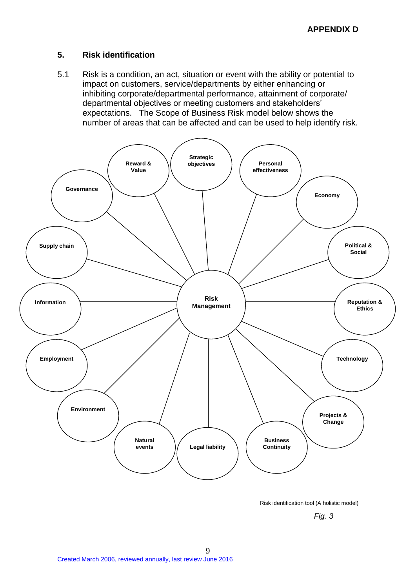## **5. Risk identification**

5.1 Risk is a condition, an act, situation or event with the ability or potential to impact on customers, service/departments by either enhancing or inhibiting corporate/departmental performance, attainment of corporate/ departmental objectives or meeting customers and stakeholders' expectations. The Scope of Business Risk model below shows the number of areas that can be affected and can be used to help identify risk.



Risk identification tool (A holistic model)

*Fig. 3*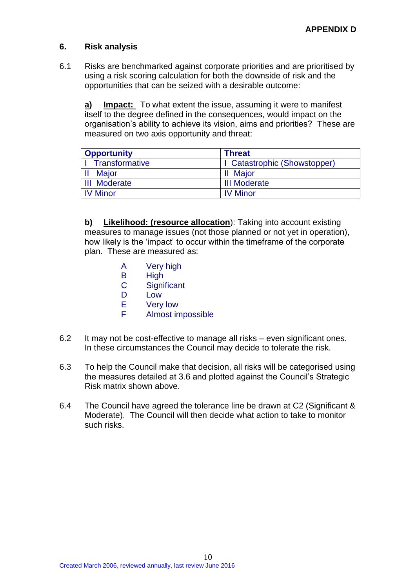## **6. Risk analysis**

6.1 Risks are benchmarked against corporate priorities and are prioritised by using a risk scoring calculation for both the downside of risk and the opportunities that can be seized with a desirable outcome:

**a) Impact:** To what extent the issue, assuming it were to manifest itself to the degree defined in the consequences, would impact on the organisation's ability to achieve its vision, aims and priorities? These are measured on two axis opportunity and threat:

| <b>Opportunity</b>    | <b>Threat</b>                |  |
|-----------------------|------------------------------|--|
| <b>Transformative</b> | I Catastrophic (Showstopper) |  |
| <b>Major</b>          | <b>II</b> Major              |  |
| <b>III</b> Moderate   | <b>III Moderate</b>          |  |
| <b>IV Minor</b>       | <b>IV Minor</b>              |  |

**b) Likelihood: (resource allocation**): Taking into account existing measures to manage issues (not those planned or not yet in operation), how likely is the 'impact' to occur within the timeframe of the corporate plan. These are measured as:

- A Very high
- B High
- C Significant
- D Low
- E Very low
- F Almost impossible
- 6.2 It may not be cost-effective to manage all risks even significant ones. In these circumstances the Council may decide to tolerate the risk.
- 6.3 To help the Council make that decision, all risks will be categorised using the measures detailed at 3.6 and plotted against the Council's Strategic Risk matrix shown above.
- 6.4 The Council have agreed the tolerance line be drawn at C2 (Significant & Moderate). The Council will then decide what action to take to monitor such risks.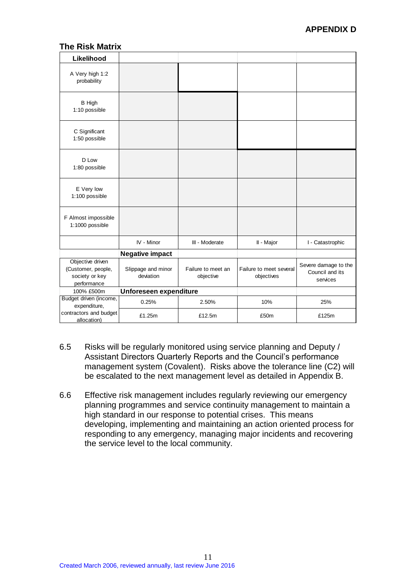## **The Risk Matrix**

| Likelihood                                                              |                                 |                                 |                                       |                                                     |
|-------------------------------------------------------------------------|---------------------------------|---------------------------------|---------------------------------------|-----------------------------------------------------|
| A Very high 1:2<br>probability                                          |                                 |                                 |                                       |                                                     |
| <b>B</b> High<br>1:10 possible                                          |                                 |                                 |                                       |                                                     |
| C Significant<br>1:50 possible                                          |                                 |                                 |                                       |                                                     |
| D Low<br>1:80 possible                                                  |                                 |                                 |                                       |                                                     |
| E Very low<br>1:100 possible                                            |                                 |                                 |                                       |                                                     |
| F Almost impossible<br>1:1000 possible                                  |                                 |                                 |                                       |                                                     |
|                                                                         | IV - Minor                      | III - Moderate                  | II - Major                            | I - Catastrophic                                    |
|                                                                         | <b>Negative impact</b>          |                                 |                                       |                                                     |
| Objective driven<br>(Customer, people,<br>society or key<br>performance | Slippage and minor<br>deviation | Failure to meet an<br>objective | Failure to meet several<br>objectives | Severe damage to the<br>Council and its<br>services |
| 100% £500m                                                              | Unforeseen expenditure          |                                 |                                       |                                                     |
| Budget driven (income,<br>expenditure,                                  | 0.25%                           | 2.50%                           | 10%                                   | 25%                                                 |
| contractors and budget<br>allocation)                                   | £1.25m                          | £12.5m                          | £50m                                  | £125m                                               |

- 6.5 Risks will be regularly monitored using service planning and Deputy / Assistant Directors Quarterly Reports and the Council's performance management system (Covalent). Risks above the tolerance line (C2) will be escalated to the next management level as detailed in Appendix B.
- 6.6 Effective risk management includes regularly reviewing our emergency planning programmes and service continuity management to maintain a high standard in our response to potential crises. This means developing, implementing and maintaining an action oriented process for responding to any emergency, managing major incidents and recovering the service level to the local community.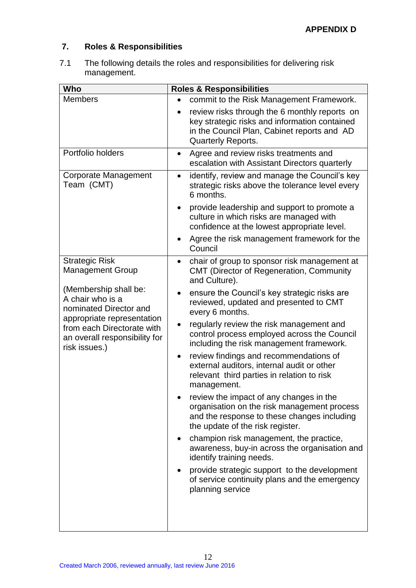# **7. Roles & Responsibilities**

7.1 The following details the roles and responsibilities for delivering risk management.

| Who                                                                                                        | <b>Roles &amp; Responsibilities</b>                                                                                                                                                                                                              |
|------------------------------------------------------------------------------------------------------------|--------------------------------------------------------------------------------------------------------------------------------------------------------------------------------------------------------------------------------------------------|
| <b>Members</b>                                                                                             | commit to the Risk Management Framework.<br>$\bullet$<br>review risks through the 6 monthly reports on<br>$\bullet$<br>key strategic risks and information contained<br>in the Council Plan, Cabinet reports and AD<br><b>Quarterly Reports.</b> |
| Portfolio holders                                                                                          | Agree and review risks treatments and<br>$\bullet$<br>escalation with Assistant Directors quarterly                                                                                                                                              |
| <b>Corporate Management</b><br>Team (CMT)                                                                  | identify, review and manage the Council's key<br>$\bullet$<br>strategic risks above the tolerance level every<br>6 months.                                                                                                                       |
|                                                                                                            | provide leadership and support to promote a<br>culture in which risks are managed with<br>confidence at the lowest appropriate level.                                                                                                            |
|                                                                                                            | Agree the risk management framework for the<br>Council                                                                                                                                                                                           |
| <b>Strategic Risk</b><br><b>Management Group</b>                                                           | chair of group to sponsor risk management at<br><b>CMT</b> (Director of Regeneration, Community<br>and Culture).                                                                                                                                 |
| (Membership shall be:<br>A chair who is a<br>nominated Director and                                        | ensure the Council's key strategic risks are<br>reviewed, updated and presented to CMT<br>every 6 months.                                                                                                                                        |
| appropriate representation<br>from each Directorate with<br>an overall responsibility for<br>risk issues.) | regularly review the risk management and<br>control process employed across the Council<br>including the risk management framework.                                                                                                              |
|                                                                                                            | review findings and recommendations of<br>$\bullet$<br>external auditors, internal audit or other<br>relevant third parties in relation to risk<br>management.                                                                                   |
|                                                                                                            | review the impact of any changes in the<br>organisation on the risk management process<br>and the response to these changes including<br>the update of the risk register.                                                                        |
|                                                                                                            | champion risk management, the practice,<br>awareness, buy-in across the organisation and<br>identify training needs.                                                                                                                             |
|                                                                                                            | provide strategic support to the development<br>of service continuity plans and the emergency<br>planning service                                                                                                                                |
|                                                                                                            |                                                                                                                                                                                                                                                  |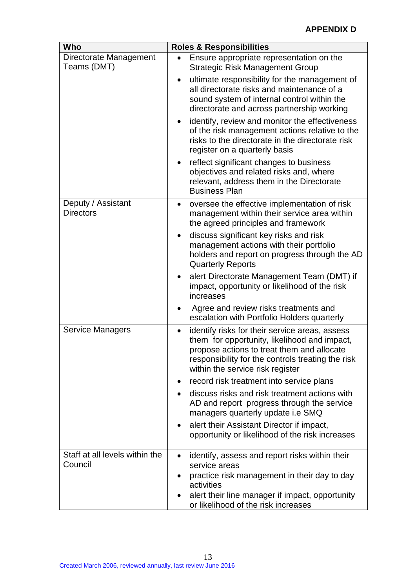| Who                                       | <b>Roles &amp; Responsibilities</b>                                                                                                                                                                                                        |  |  |
|-------------------------------------------|--------------------------------------------------------------------------------------------------------------------------------------------------------------------------------------------------------------------------------------------|--|--|
| Directorate Management<br>Teams (DMT)     | Ensure appropriate representation on the<br><b>Strategic Risk Management Group</b>                                                                                                                                                         |  |  |
|                                           | ultimate responsibility for the management of<br>all directorate risks and maintenance of a<br>sound system of internal control within the<br>directorate and across partnership working                                                   |  |  |
|                                           | identify, review and monitor the effectiveness<br>٠<br>of the risk management actions relative to the<br>risks to the directorate in the directorate risk<br>register on a quarterly basis                                                 |  |  |
|                                           | reflect significant changes to business<br>objectives and related risks and, where<br>relevant, address them in the Directorate<br><b>Business Plan</b>                                                                                    |  |  |
| Deputy / Assistant<br><b>Directors</b>    | oversee the effective implementation of risk<br>$\bullet$<br>management within their service area within<br>the agreed principles and framework                                                                                            |  |  |
|                                           | discuss significant key risks and risk<br>$\bullet$<br>management actions with their portfolio<br>holders and report on progress through the AD<br><b>Quarterly Reports</b>                                                                |  |  |
|                                           | alert Directorate Management Team (DMT) if<br>impact, opportunity or likelihood of the risk<br>increases                                                                                                                                   |  |  |
|                                           | Agree and review risks treatments and<br>escalation with Portfolio Holders quarterly                                                                                                                                                       |  |  |
| <b>Service Managers</b>                   | identify risks for their service areas, assess<br>٠<br>them for opportunity, likelihood and impact,<br>propose actions to treat them and allocate<br>responsibility for the controls treating the risk<br>within the service risk register |  |  |
|                                           | record risk treatment into service plans                                                                                                                                                                                                   |  |  |
|                                           | discuss risks and risk treatment actions with<br>AD and report progress through the service<br>managers quarterly update i.e SMQ                                                                                                           |  |  |
|                                           | alert their Assistant Director if impact,<br>$\bullet$<br>opportunity or likelihood of the risk increases                                                                                                                                  |  |  |
| Staff at all levels within the<br>Council | identify, assess and report risks within their<br>٠<br>service areas<br>practice risk management in their day to day<br>activities<br>alert their line manager if impact, opportunity<br>٠<br>or likelihood of the risk increases          |  |  |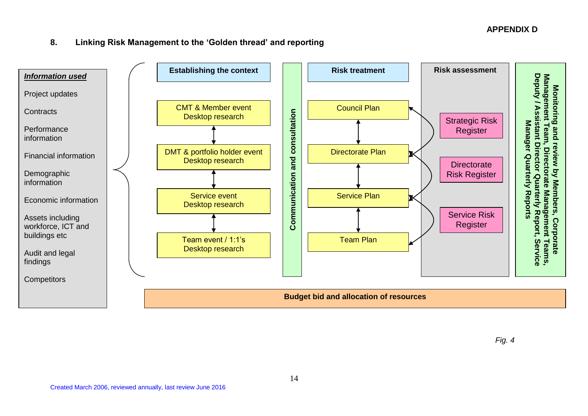# **APPENDIX D**

# **8. Linking Risk Management to the 'Golden thread' and reporting**



*Fig. 4*